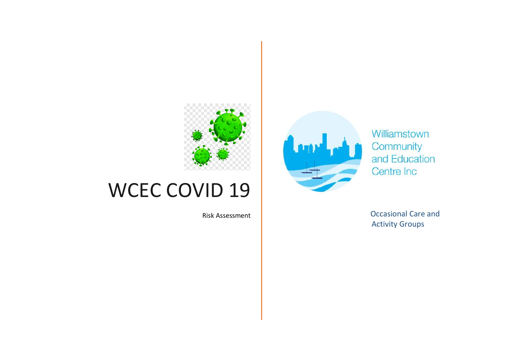

## WCEC COVID 19



Williamstown Community and Education Centre Inc

Risk Assessment **Careford Care and Care and Careford Care** and Careford Care and Activity Groups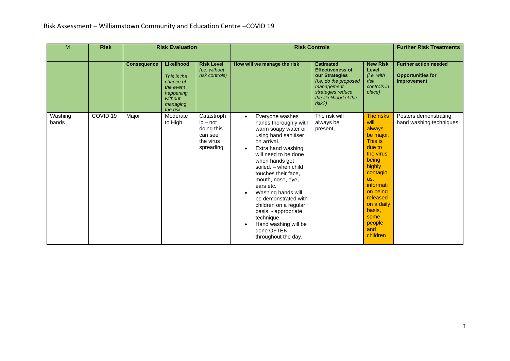| M                | <b>Risk</b>         | <b>Risk Evaluation</b> |                                                                                                     |                                                                              |                             | <b>Risk Controls</b>                                                                                                                                                                                                                                                                                                                                                                                                              |                                                                                                                                                                 | <b>Further Risk Treatments</b>                                                                                                                                                                                     |                                                                         |
|------------------|---------------------|------------------------|-----------------------------------------------------------------------------------------------------|------------------------------------------------------------------------------|-----------------------------|-----------------------------------------------------------------------------------------------------------------------------------------------------------------------------------------------------------------------------------------------------------------------------------------------------------------------------------------------------------------------------------------------------------------------------------|-----------------------------------------------------------------------------------------------------------------------------------------------------------------|--------------------------------------------------------------------------------------------------------------------------------------------------------------------------------------------------------------------|-------------------------------------------------------------------------|
|                  |                     | <b>Consequence</b>     | Likelihood<br>This is the<br>chance of<br>the event<br>happening<br>without<br>managing<br>the risk | <b>Risk Level</b><br>(i.e. without<br>risk controls)                         | How will we manage the risk |                                                                                                                                                                                                                                                                                                                                                                                                                                   | <b>Estimated</b><br><b>Effectiveness of</b><br>our Strategies<br>(i.e. do the proposed<br>management<br>strategies reduce<br>the likelihood of the<br>$risk$ ?) | <b>New Risk</b><br>Level<br>(i.e. with<br>risk<br>controls in<br>place)                                                                                                                                            | <b>Further action needed</b><br><b>Opportunities for</b><br>improvement |
| Washing<br>hands | COVID <sub>19</sub> | Major                  | Moderate<br>to High                                                                                 | Catastroph<br>$ic - not$<br>doing this<br>can see<br>the virus<br>spreading. | $\bullet$                   | Everyone washes<br>hands thoroughly with<br>warm soapy water or<br>using hand sanitiser<br>on arrival.<br>Extra hand washing<br>will need to be done<br>when hands get<br>soiled. - when child<br>touches their face,<br>mouth, nose, eye,<br>ears etc.<br>Washing hands will<br>be demonstrated with<br>children on a regular<br>basis. - appropriate<br>technique.<br>Hand washing will be<br>done OFTEN<br>throughout the day. | The risk will<br>always be<br>present,                                                                                                                          | The risks<br>will<br>always<br>be major.<br>This is<br>due to<br>the virus<br>being<br>highly<br>contagio<br>us.<br>informati<br>on being<br>released<br>on a daily<br>basis,<br>some<br>people<br>and<br>children | Posters demonstrating<br>hand washing techniques.                       |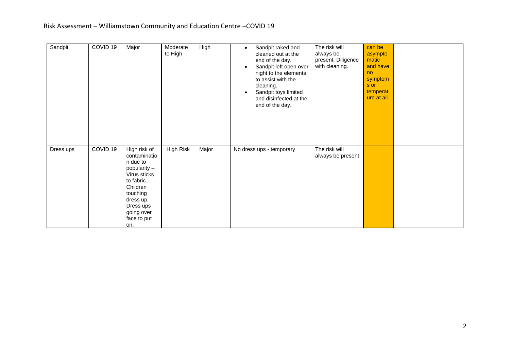| Sandpit   | COVID <sub>19</sub> | Major                                                                                                                                                                        | Moderate<br>to High | <b>High</b> | Sandpit raked and<br>$\bullet$<br>cleaned out at the<br>end of the day.<br>Sandpit left open over<br>$\bullet$<br>night to the elements<br>to assist with the<br>cleaning.<br>Sandpit toys limited<br>$\bullet$<br>and disinfected at the<br>end of the day. | The risk will<br>always be<br>present. Diligence<br>with cleaning. | can be<br>asympto<br>matic<br>and have<br>no<br>symptom<br>s or<br>temperat<br>ure at all. |  |
|-----------|---------------------|------------------------------------------------------------------------------------------------------------------------------------------------------------------------------|---------------------|-------------|--------------------------------------------------------------------------------------------------------------------------------------------------------------------------------------------------------------------------------------------------------------|--------------------------------------------------------------------|--------------------------------------------------------------------------------------------|--|
| Dress ups | COVID <sub>19</sub> | High risk of<br>contaminatio<br>n due to<br>popularity -<br>Virus sticks<br>to fabric.<br>Children<br>touching<br>dress up.<br>Dress ups<br>going over<br>face to put<br>on. | <b>High Risk</b>    | Major       | No dress ups - temporary                                                                                                                                                                                                                                     | The risk will<br>always be present                                 |                                                                                            |  |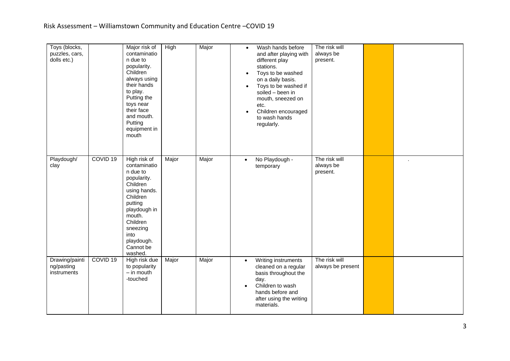| Toys (blocks,<br>puzzles, cars,<br>dolls etc.) |                     | Major risk of<br>contaminatio<br>n due to<br>popularity.<br>Children<br>always using<br>their hands<br>to play.<br>Putting the<br>toys near<br>their face<br>and mouth.<br>Putting<br>equipment in<br>mouth | High  | Major | $\bullet$<br>$\bullet$<br>$\bullet$ | Wash hands before<br>and after playing with<br>different play<br>stations.<br>Toys to be washed<br>on a daily basis.<br>Toys to be washed if<br>soiled - been in<br>mouth, sneezed on<br>etc.<br>Children encouraged<br>to wash hands<br>regularly. | The risk will<br>always be<br>present. |  |
|------------------------------------------------|---------------------|-------------------------------------------------------------------------------------------------------------------------------------------------------------------------------------------------------------|-------|-------|-------------------------------------|-----------------------------------------------------------------------------------------------------------------------------------------------------------------------------------------------------------------------------------------------------|----------------------------------------|--|
| Playdough/<br>clay                             | COVID <sub>19</sub> | High risk of<br>contaminatio<br>n due to<br>popularity.<br>Children<br>using hands.<br>Children<br>putting<br>playdough in<br>mouth.<br>Children<br>sneezing<br>into<br>playdough.<br>Cannot be<br>washed.  | Major | Major | $\bullet$                           | No Playdough -<br>temporary                                                                                                                                                                                                                         | The risk will<br>always be<br>present. |  |
| Drawing/painti<br>ng/pasting<br>instruments    | COVID <sub>19</sub> | High risk due<br>to popularity<br>$-$ in mouth<br>-touched                                                                                                                                                  | Major | Major | $\bullet$<br>$\bullet$              | Writing instruments<br>cleaned on a regular<br>basis throughout the<br>day.<br>Children to wash<br>hands before and<br>after using the writing<br>materials.                                                                                        | The risk will<br>always be present     |  |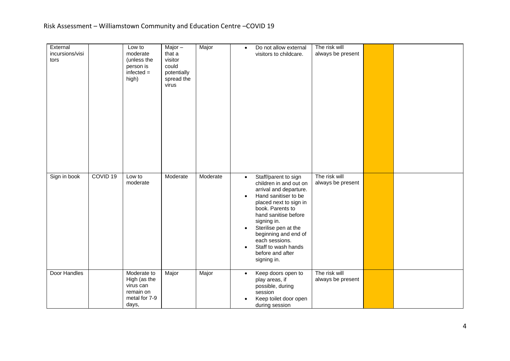| External<br>incursions/visi<br>tors |                     | Low to<br>moderate<br>(unless the<br>person is<br>$infected =$<br>high)         | Major $-$<br>that a<br>visitor<br>could<br>potentially<br>spread the<br>virus | Major    | $\bullet$                                        | Do not allow external<br>visitors to childcare.                                                                                                                                                                                                                                                                   | The risk will<br>always be present |  |
|-------------------------------------|---------------------|---------------------------------------------------------------------------------|-------------------------------------------------------------------------------|----------|--------------------------------------------------|-------------------------------------------------------------------------------------------------------------------------------------------------------------------------------------------------------------------------------------------------------------------------------------------------------------------|------------------------------------|--|
| Sign in book                        | COVID <sub>19</sub> | Low to<br>moderate                                                              | Moderate                                                                      | Moderate | $\bullet$<br>$\bullet$<br>$\bullet$<br>$\bullet$ | Staff/parent to sign<br>children in and out on<br>arrival and departure.<br>Hand sanitiser to be<br>placed next to sign in<br>book. Parents to<br>hand sanitise before<br>signing in.<br>Sterilise pen at the<br>beginning and end of<br>each sessions.<br>Staff to wash hands<br>before and after<br>signing in. | The risk will<br>always be present |  |
| Door Handles                        |                     | Moderate to<br>High (as the<br>virus can<br>remain on<br>metal for 7-9<br>days, | Major                                                                         | Major    | $\bullet$                                        | Keep doors open to<br>play areas, if<br>possible, during<br>session<br>Keep toilet door open<br>during session                                                                                                                                                                                                    | The risk will<br>always be present |  |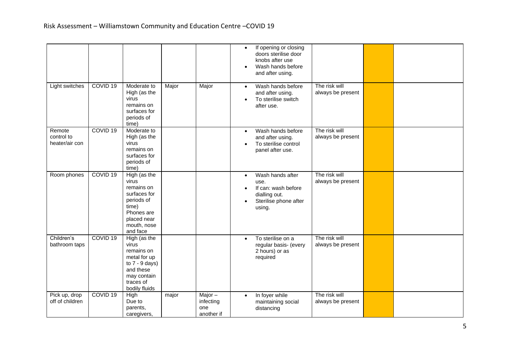|                                        |                     |                                                                                                                                    |       |                                             | $\bullet$<br>$\bullet$ | If opening or closing<br>doors sterilise door<br>knobs after use<br>Wash hands before<br>and after using. |                                    |  |
|----------------------------------------|---------------------|------------------------------------------------------------------------------------------------------------------------------------|-------|---------------------------------------------|------------------------|-----------------------------------------------------------------------------------------------------------|------------------------------------|--|
| Light switches                         | COVID <sub>19</sub> | Moderate to<br>High (as the<br>virus<br>remains on<br>surfaces for<br>periods of<br>time)                                          | Major | Major                                       | $\bullet$              | Wash hands before<br>and after using.<br>To sterilise switch<br>after use.                                | The risk will<br>always be present |  |
| Remote<br>control to<br>heater/air con | COVID <sub>19</sub> | Moderate to<br>High (as the<br>virus<br>remains on<br>surfaces for<br>periods of<br>time)                                          |       |                                             | $\bullet$              | Wash hands before<br>and after using.<br>To sterilise control<br>panel after use.                         | The risk will<br>always be present |  |
| Room phones                            | COVID <sub>19</sub> | High (as the<br>virus<br>remains on<br>surfaces for<br>periods of<br>time)<br>Phones are<br>placed near<br>mouth, nose<br>and face |       |                                             | $\bullet$<br>$\bullet$ | Wash hands after<br>use.<br>If can: wash before<br>dialling out.<br>Sterilise phone after<br>using.       | The risk will<br>always be present |  |
| Children's<br>bathroom taps            | COVID <sub>19</sub> | High (as the<br>virus<br>remains on<br>metal for up<br>to $7 - 9$ days)<br>and these<br>may contain<br>traces of<br>bodily fluids  |       |                                             | $\bullet$              | To sterilise on a<br>regular basis- (every<br>2 hours) or as<br>required                                  | The risk will<br>always be present |  |
| Pick up, drop<br>off of children       | COVID <sub>19</sub> | High<br>Due to<br>parents,<br>caregivers,                                                                                          | major | Major $-$<br>infecting<br>one<br>another if | $\bullet$              | In foyer while<br>maintaining social<br>distancing                                                        | The risk will<br>always be present |  |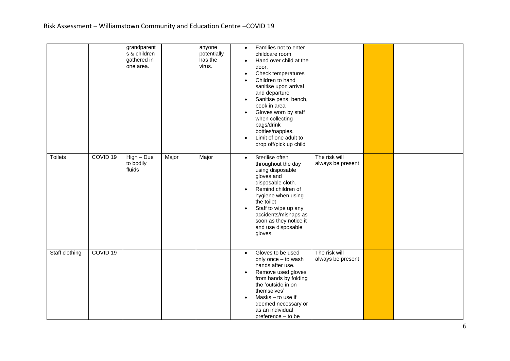|                |                     | grandparent<br>s & children<br>gathered in<br>one area. |       | anyone<br>potentially<br>has the<br>virus. | Families not to enter<br>$\bullet$<br>childcare room<br>Hand over child at the<br>door.<br>Check temperatures<br>$\bullet$<br>Children to hand<br>sanitise upon arrival<br>and departure<br>Sanitise pens, bench,<br>$\bullet$<br>book in area<br>Gloves worn by staff<br>$\bullet$<br>when collecting<br>bags/drink<br>bottles/nappies.<br>Limit of one adult to<br>$\bullet$<br>drop off/pick up child |                                    |  |
|----------------|---------------------|---------------------------------------------------------|-------|--------------------------------------------|----------------------------------------------------------------------------------------------------------------------------------------------------------------------------------------------------------------------------------------------------------------------------------------------------------------------------------------------------------------------------------------------------------|------------------------------------|--|
| <b>Toilets</b> | COVID <sub>19</sub> | $High - Due$<br>to bodily<br>fluids                     | Major | Major                                      | Sterilise often<br>$\bullet$<br>throughout the day<br>using disposable<br>gloves and<br>disposable cloth.<br>Remind children of<br>$\bullet$<br>hygiene when using<br>the toilet<br>Staff to wipe up any<br>$\bullet$<br>accidents/mishaps as<br>soon as they notice it<br>and use disposable<br>gloves.                                                                                                 | The risk will<br>always be present |  |
| Staff clothing | COVID <sub>19</sub> |                                                         |       |                                            | Gloves to be used<br>$\bullet$<br>only once - to wash<br>hands after use.<br>Remove used gloves<br>$\bullet$<br>from hands by folding<br>the 'outside in on<br>themselves'<br>Masks - to use if<br>$\bullet$<br>deemed necessary or<br>as an individual<br>preference - to be                                                                                                                            | The risk will<br>always be present |  |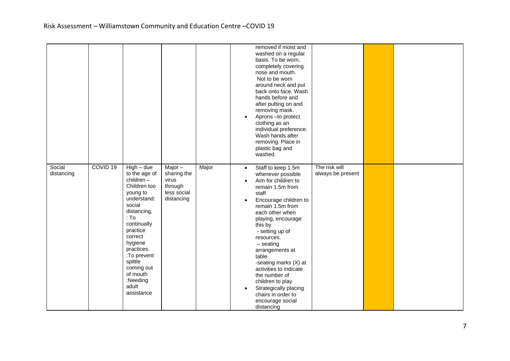|                      |                     |                                                                                                                                                                                                                                                                              |                                                                           |       | $\bullet$                                        | removed if moist and<br>washed on a regular<br>basis. To be worn,<br>completely covering<br>nose and mouth.<br>Not to be worn<br>around neck and put<br>back onto face. Wash<br>hands before and<br>after putting on and<br>removing mask.<br>Aprons-to protect<br>clothing as an<br>individual preference.<br>Wash hands after<br>removing. Place in<br>plastic bag and<br>washed.                                                                |                                    |  |
|----------------------|---------------------|------------------------------------------------------------------------------------------------------------------------------------------------------------------------------------------------------------------------------------------------------------------------------|---------------------------------------------------------------------------|-------|--------------------------------------------------|----------------------------------------------------------------------------------------------------------------------------------------------------------------------------------------------------------------------------------------------------------------------------------------------------------------------------------------------------------------------------------------------------------------------------------------------------|------------------------------------|--|
| Social<br>distancing | COVID <sub>19</sub> | $High - due$<br>to the age of<br>children-<br>Children too<br>young to<br>understand:<br>social<br>distancing,<br>: To<br>continually<br>practice<br>correct<br>hygiene<br>practices.<br>:To prevent<br>spittle<br>coming out<br>of mouth<br>:Needing<br>adult<br>assistance | Major $-$<br>sharing the<br>virus<br>through<br>less social<br>distancing | Major | $\bullet$<br>$\bullet$<br>$\bullet$<br>$\bullet$ | Staff to keep 1.5m<br>whenever possible<br>Aim for children to<br>remain 1.5m from<br>staff<br>Encourage children to<br>remain 1.5m from<br>each other when<br>playing, encourage<br>this by<br>- setting up of<br>resources.<br>$-$ seating<br>arrangements at<br>table.<br>-seating marks (X) at<br>activities to indicate<br>the number of<br>children to play<br>Strategically placing<br>chairs in order to<br>encourage social<br>distancing | The risk will<br>always be present |  |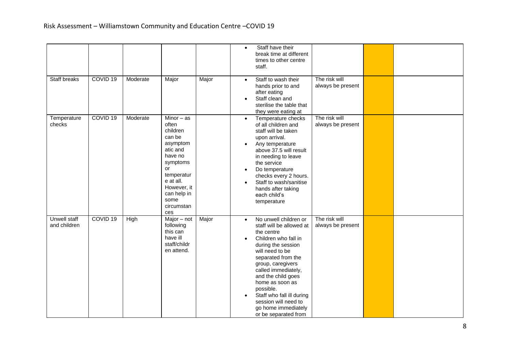|                                     |                     |          |                                                                                                                                                                                        |       | Staff have their<br>$\bullet$<br>break time at different<br>times to other centre<br>staff.                                                                                                                                                                                                                                                                                                                                               |
|-------------------------------------|---------------------|----------|----------------------------------------------------------------------------------------------------------------------------------------------------------------------------------------|-------|-------------------------------------------------------------------------------------------------------------------------------------------------------------------------------------------------------------------------------------------------------------------------------------------------------------------------------------------------------------------------------------------------------------------------------------------|
| <b>Staff breaks</b>                 | COVID <sub>19</sub> | Moderate | Major                                                                                                                                                                                  | Major | The risk will<br>Staff to wash their<br>$\bullet$<br>always be present<br>hands prior to and<br>after eating<br>Staff clean and<br>sterilise the table that<br>they were eating at                                                                                                                                                                                                                                                        |
| Temperature<br>checks               | COVID <sub>19</sub> | Moderate | Minor $-$ as<br>often<br>children<br>can be<br>asymptom<br>atic and<br>have no<br>symptoms<br>or<br>temperatur<br>e at all.<br>However, it<br>can help in<br>some<br>circumstan<br>ces |       | The risk will<br>Temperature checks<br>$\bullet$<br>of all children and<br>always be present<br>staff will be taken<br>upon arrival.<br>Any temperature<br>above 37.5 will result<br>in needing to leave<br>the service<br>Do temperature<br>$\bullet$<br>checks every 2 hours.<br>Staff to wash/sanitise<br>hands after taking<br>each child's<br>temperature                                                                            |
| <b>Unwell staff</b><br>and children | COVID <sub>19</sub> | High     | Major - not<br>following<br>this can<br>have ill<br>staff/childr<br>en attend.                                                                                                         | Major | No unwell children or<br>The risk will<br>$\bullet$<br>staff will be allowed at<br>always be present<br>the centre<br>Children who fall in<br>$\bullet$<br>during the session<br>will need to be<br>separated from the<br>group, caregivers<br>called immediately,<br>and the child goes<br>home as soon as<br>possible.<br>Staff who fall ill during<br>$\bullet$<br>session will need to<br>go home immediately<br>or be separated from |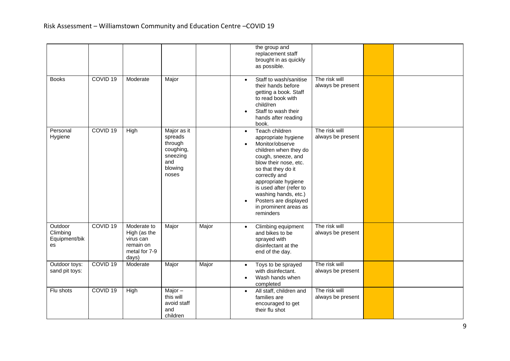|                                            |                     |                                                                                 |                                                                                       |       | the group and<br>replacement staff<br>brought in as quickly<br>as possible.                                                                                                                                                                                                                                                                |                                    |  |
|--------------------------------------------|---------------------|---------------------------------------------------------------------------------|---------------------------------------------------------------------------------------|-------|--------------------------------------------------------------------------------------------------------------------------------------------------------------------------------------------------------------------------------------------------------------------------------------------------------------------------------------------|------------------------------------|--|
| <b>Books</b>                               | COVID <sub>19</sub> | Moderate                                                                        | Major                                                                                 |       | Staff to wash/sanitise<br>$\bullet$<br>their hands before<br>getting a book. Staff<br>to read book with<br>child/ren<br>Staff to wash their<br>$\bullet$<br>hands after reading<br>book.                                                                                                                                                   | The risk will<br>always be present |  |
| Personal<br>Hygiene                        | COVID <sub>19</sub> | High                                                                            | Major as it<br>spreads<br>through<br>coughing,<br>sneezing<br>and<br>blowing<br>noses |       | Teach children<br>$\bullet$<br>appropriate hygiene<br>Monitor/observe<br>children when they do<br>cough, sneeze, and<br>blow their nose, etc.<br>so that they do it<br>correctly and<br>appropriate hygiene<br>is used after (refer to<br>washing hands, etc.)<br>Posters are displayed<br>$\bullet$<br>in prominent areas as<br>reminders | The risk will<br>always be present |  |
| Outdoor<br>Climbing<br>Equipment/bik<br>es | COVID <sub>19</sub> | Moderate to<br>High (as the<br>virus can<br>remain on<br>metal for 7-9<br>days) | Major                                                                                 | Major | Climbing equipment<br>$\bullet$<br>and bikes to be<br>sprayed with<br>disinfectant at the<br>end of the day.                                                                                                                                                                                                                               | The risk will<br>always be present |  |
| Outdoor toys:<br>sand pit toys:            | COVID <sub>19</sub> | Moderate                                                                        | Major                                                                                 | Major | Toys to be sprayed<br>$\bullet$<br>with disinfectant.<br>Wash hands when<br>completed                                                                                                                                                                                                                                                      | The risk will<br>always be present |  |
| Flu shots                                  | COVID <sub>19</sub> | High                                                                            | Major $-$<br>this will<br>avoid staff<br>and<br>children                              |       | All staff, children and<br>$\bullet$<br>families are<br>encouraged to get<br>their flu shot                                                                                                                                                                                                                                                | The risk will<br>always be present |  |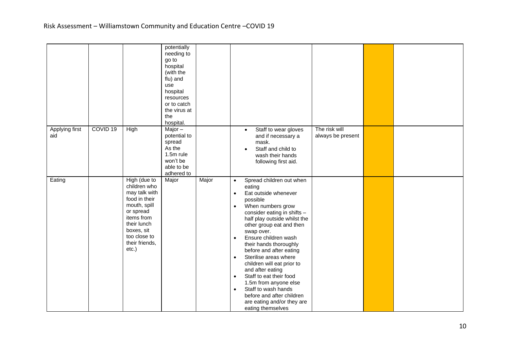|                       |                     |                                                                                                                                                                                   | potentially<br>needing to<br>go to<br>hospital<br>(with the<br>flu) and<br>use<br>hospital<br>resources<br>or to catch<br>the virus at<br>the<br>hospital. |       |                                                                                                                                                                                                                                                                                                                                                                                                                                                                                                                                                                                                                    |
|-----------------------|---------------------|-----------------------------------------------------------------------------------------------------------------------------------------------------------------------------------|------------------------------------------------------------------------------------------------------------------------------------------------------------|-------|--------------------------------------------------------------------------------------------------------------------------------------------------------------------------------------------------------------------------------------------------------------------------------------------------------------------------------------------------------------------------------------------------------------------------------------------------------------------------------------------------------------------------------------------------------------------------------------------------------------------|
| Applying first<br>aid | COVID <sub>19</sub> | <b>High</b>                                                                                                                                                                       | Major-<br>potential to<br>spread<br>As the<br>1.5m rule<br>won't be<br>able to be<br>adhered to                                                            |       | The risk will<br>Staff to wear gloves<br>$\bullet$<br>always be present<br>and if necessary a<br>mask.<br>Staff and child to<br>$\bullet$<br>wash their hands<br>following first aid.                                                                                                                                                                                                                                                                                                                                                                                                                              |
| Eating                |                     | High (due to<br>children who<br>may talk with<br>food in their<br>mouth, spill<br>or spread<br>items from<br>their lunch<br>boxes, sit<br>too close to<br>their friends,<br>etc.) | Major                                                                                                                                                      | Major | Spread children out when<br>$\bullet$<br>eating<br>Eat outside whenever<br>$\bullet$<br>possible<br>When numbers grow<br>$\bullet$<br>consider eating in shifts -<br>half play outside whilst the<br>other group eat and then<br>swap over.<br>Ensure children wash<br>$\bullet$<br>their hands thoroughly<br>before and after eating<br>Sterilise areas where<br>$\bullet$<br>children will eat prior to<br>and after eating<br>Staff to eat their food<br>$\bullet$<br>1.5m from anyone else<br>Staff to wash hands<br>$\bullet$<br>before and after children<br>are eating and/or they are<br>eating themselves |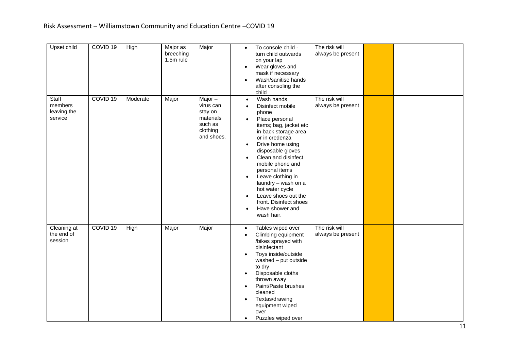| Upset child                                | COVID <sub>19</sub> | High     | Major as<br>breeching<br>1.5m rule | Major                                                                               | To console child -<br>$\bullet$<br>turn child outwards<br>on your lap<br>Wear gloves and<br>$\bullet$<br>mask if necessary<br>Wash/sanitise hands<br>after consoling the<br>child                                                                                                                                                                                                                                                                     | The risk will<br>always be present |  |
|--------------------------------------------|---------------------|----------|------------------------------------|-------------------------------------------------------------------------------------|-------------------------------------------------------------------------------------------------------------------------------------------------------------------------------------------------------------------------------------------------------------------------------------------------------------------------------------------------------------------------------------------------------------------------------------------------------|------------------------------------|--|
| Staff<br>members<br>leaving the<br>service | COVID <sub>19</sub> | Moderate | Major                              | Major $-$<br>virus can<br>stay on<br>materials<br>such as<br>clothing<br>and shoes. | Wash hands<br>$\bullet$<br>Disinfect mobile<br>phone<br>Place personal<br>$\bullet$<br>items; bag, jacket etc<br>in back storage area<br>or in credenza<br>Drive home using<br>$\bullet$<br>disposable gloves<br>Clean and disinfect<br>$\bullet$<br>mobile phone and<br>personal items<br>Leave clothing in<br>laundry - wash on a<br>hot water cycle<br>Leave shoes out the<br>front. Disinfect shoes<br>Have shower and<br>$\bullet$<br>wash hair. | The risk will<br>always be present |  |
| Cleaning at<br>the end of<br>session       | COVID <sub>19</sub> | High     | Major                              | Major                                                                               | Tables wiped over<br>$\bullet$<br>Climbing equipment<br>$\bullet$<br>/bikes sprayed with<br>disinfectant<br>Toys inside/outside<br>$\bullet$<br>washed - put outside<br>to dry<br>Disposable cloths<br>$\bullet$<br>thrown away<br>Paint/Paste brushes<br>$\bullet$<br>cleaned<br>Textas/drawing<br>$\bullet$<br>equipment wiped<br>over<br>Puzzles wiped over                                                                                        | The risk will<br>always be present |  |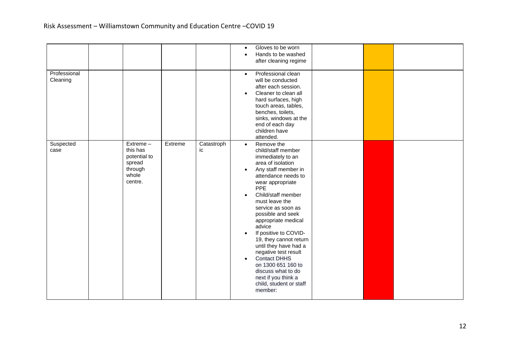|                          |                                                                               |         |                  | $\bullet$                                        | Gloves to be worn<br>Hands to be washed<br>after cleaning regime                                                                                                                                                                                                                                                                                                                                                                                                                                                   |  |  |
|--------------------------|-------------------------------------------------------------------------------|---------|------------------|--------------------------------------------------|--------------------------------------------------------------------------------------------------------------------------------------------------------------------------------------------------------------------------------------------------------------------------------------------------------------------------------------------------------------------------------------------------------------------------------------------------------------------------------------------------------------------|--|--|
| Professional<br>Cleaning |                                                                               |         |                  | $\bullet$<br>$\bullet$                           | Professional clean<br>will be conducted<br>after each session.<br>Cleaner to clean all<br>hard surfaces, high<br>touch areas, tables,<br>benches, toilets,<br>sinks, windows at the<br>end of each day<br>children have<br>attended.                                                                                                                                                                                                                                                                               |  |  |
| Suspected<br>case        | Extreme-<br>this has<br>potential to<br>spread<br>through<br>whole<br>centre. | Extreme | Catastroph<br>ic | $\bullet$<br>$\bullet$<br>$\bullet$<br>$\bullet$ | Remove the<br>child/staff member<br>immediately to an<br>area of isolation<br>Any staff member in<br>attendance needs to<br>wear appropriate<br><b>PPE</b><br>Child/staff member<br>must leave the<br>service as soon as<br>possible and seek<br>appropriate medical<br>advice<br>If positive to COVID-<br>19, they cannot return<br>until they have had a<br>negative test result<br><b>Contact DHHS</b><br>on 1300 651 160 to<br>discuss what to do<br>next if you think a<br>child, student or staff<br>member: |  |  |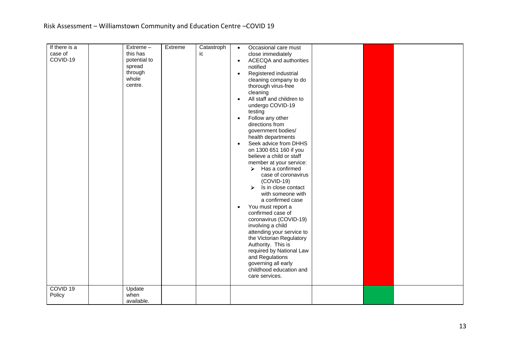| If there is a       | Extreme-     | Extreme | Catastroph | Occasional care must<br>$\bullet$          |
|---------------------|--------------|---------|------------|--------------------------------------------|
| case of             | this has     |         | ic         | close immediately                          |
| COVID-19            | potential to |         |            | <b>ACECQA</b> and authorities<br>$\bullet$ |
|                     | spread       |         |            | notified                                   |
|                     | through      |         |            | Registered industrial<br>$\bullet$         |
|                     | whole        |         |            | cleaning company to do                     |
|                     | centre.      |         |            | thorough virus-free                        |
|                     |              |         |            | cleaning                                   |
|                     |              |         |            | All staff and children to<br>$\bullet$     |
|                     |              |         |            | undergo COVID-19                           |
|                     |              |         |            | testing                                    |
|                     |              |         |            | Follow any other<br>$\bullet$              |
|                     |              |         |            | directions from                            |
|                     |              |         |            | government bodies/                         |
|                     |              |         |            | health departments                         |
|                     |              |         |            | Seek advice from DHHS<br>$\bullet$         |
|                     |              |         |            | on 1300 651 160 if you                     |
|                     |              |         |            | believe a child or staff                   |
|                     |              |         |            | member at your service:                    |
|                     |              |         |            | Has a confirmed<br>$\triangleright$        |
|                     |              |         |            | case of coronavirus                        |
|                     |              |         |            | $(COVID-19)$                               |
|                     |              |         |            | Is in close contact<br>$\triangleright$    |
|                     |              |         |            | with someone with                          |
|                     |              |         |            | a confirmed case                           |
|                     |              |         |            | You must report a<br>$\bullet$             |
|                     |              |         |            | confirmed case of                          |
|                     |              |         |            | coronavirus (COVID-19)                     |
|                     |              |         |            | involving a child                          |
|                     |              |         |            | attending your service to                  |
|                     |              |         |            | the Victorian Regulatory                   |
|                     |              |         |            | Authority. This is                         |
|                     |              |         |            | required by National Law                   |
|                     |              |         |            | and Regulations                            |
|                     |              |         |            | governing all early                        |
|                     |              |         |            | childhood education and                    |
|                     |              |         |            | care services.                             |
|                     |              |         |            |                                            |
| COVID <sub>19</sub> | Update       |         |            |                                            |
| Policy              | when         |         |            |                                            |
|                     | available.   |         |            |                                            |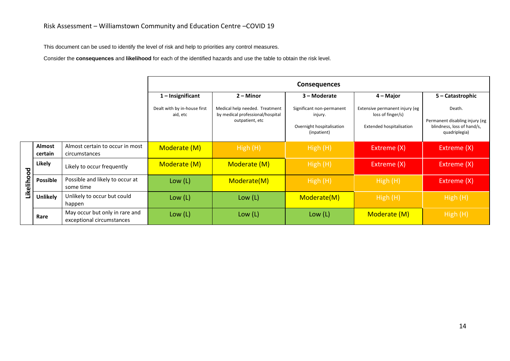This document can be used to identify the level of risk and help to priorities any control measures.

Consider the **consequences** and **likelihood** for each of the identified hazards and use the table to obtain the risk level.

|            |                          |                                                             | <b>Consequences</b>                      |                                                                                       |                                                                                  |                                                                                 |                                                                                         |
|------------|--------------------------|-------------------------------------------------------------|------------------------------------------|---------------------------------------------------------------------------------------|----------------------------------------------------------------------------------|---------------------------------------------------------------------------------|-----------------------------------------------------------------------------------------|
|            |                          |                                                             | $1$ – Insignificant                      | $2 -$ Minor                                                                           | 3 – Moderate                                                                     | 4 – Major                                                                       | 5 – Catastrophic                                                                        |
|            |                          |                                                             | Dealt with by in-house first<br>aid, etc | Medical help needed. Treatment<br>by medical professional/hospital<br>outpatient, etc | Significant non-permanent<br>injury.<br>Overnight hospitalisation<br>(inpatient) | Extensive permanent injury (eg<br>loss of finger/s)<br>Extended hospitalisation | Death.<br>Permanent disabling injury (eg<br>blindness, loss of hand/s,<br>quadriplegia) |
| Likelihood | <b>Almost</b><br>certain | Almost certain to occur in most<br>circumstances            | Moderate (M)                             | High(H)                                                                               | High(H)                                                                          | Extreme (X)                                                                     | Extreme (X)                                                                             |
|            | Likely                   | Likely to occur frequently                                  | Moderate (M)                             | Moderate (M)                                                                          | High(H)                                                                          | Extreme (X)                                                                     | Extreme (X)                                                                             |
|            | <b>Possible</b>          | Possible and likely to occur at<br>some time                | Low (L)                                  | Moderate(M)                                                                           | High(H)                                                                          | High(H)                                                                         | Extreme (X)                                                                             |
|            | Unlikely                 | Unlikely to occur but could<br>happen                       | Low (L)                                  | Low (L)                                                                               | Moderate(M)                                                                      | High (H)                                                                        | High (H)                                                                                |
|            | Rare                     | May occur but only in rare and<br>exceptional circumstances | Low (L)                                  | Low (L)                                                                               | Low (L)                                                                          | Moderate (M)                                                                    | High (H)                                                                                |